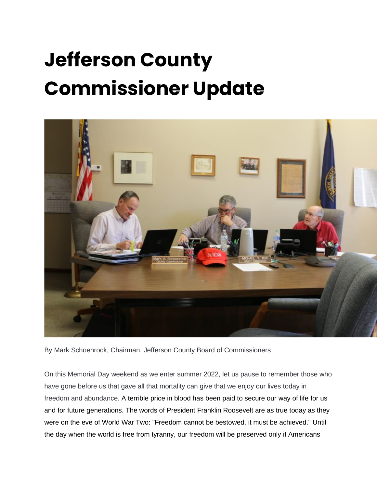## **Jefferson County Commissioner Update**



By Mark Schoenrock, Chairman, Jefferson County Board of Commissioners

On this Memorial Day weekend as we enter summer 2022, let us pause to remember those who have gone before us that gave all that mortality can give that we enjoy our lives today in freedom and abundance. A terrible price in blood has been paid to secure our way of life for us and for future generations. The words of President Franklin Roosevelt are as true today as they were on the eve of World War Two: "Freedom cannot be bestowed, it must be achieved." Until the day when the world is free from tyranny, our freedom will be preserved only if Americans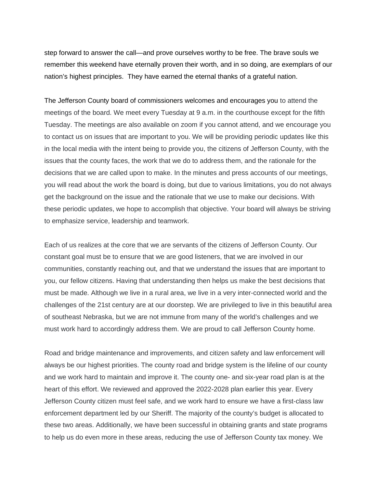step forward to answer the call—and prove ourselves worthy to be free. The brave souls we remember this weekend have eternally proven their worth, and in so doing, are exemplars of our nation's highest principles. They have earned the eternal thanks of a grateful nation.

The Jefferson County board of commissioners welcomes and encourages you to attend the meetings of the board. We meet every Tuesday at 9 a.m. in the courthouse except for the fifth Tuesday. The meetings are also available on zoom if you cannot attend, and we encourage you to contact us on issues that are important to you. We will be providing periodic updates like this in the local media with the intent being to provide you, the citizens of Jefferson County, with the issues that the county faces, the work that we do to address them, and the rationale for the decisions that we are called upon to make. In the minutes and press accounts of our meetings, you will read about the work the board is doing, but due to various limitations, you do not always get the background on the issue and the rationale that we use to make our decisions. With these periodic updates, we hope to accomplish that objective. Your board will always be striving to emphasize service, leadership and teamwork.

Each of us realizes at the core that we are servants of the citizens of Jefferson County. Our constant goal must be to ensure that we are good listeners, that we are involved in our communities, constantly reaching out, and that we understand the issues that are important to you, our fellow citizens. Having that understanding then helps us make the best decisions that must be made. Although we live in a rural area, we live in a very inter-connected world and the challenges of the 21st century are at our doorstep. We are privileged to live in this beautiful area of southeast Nebraska, but we are not immune from many of the world's challenges and we must work hard to accordingly address them. We are proud to call Jefferson County home.

Road and bridge maintenance and improvements, and citizen safety and law enforcement will always be our highest priorities. The county road and bridge system is the lifeline of our county and we work hard to maintain and improve it. The county one- and six-year road plan is at the heart of this effort. We reviewed and approved the 2022-2028 plan earlier this year. Every Jefferson County citizen must feel safe, and we work hard to ensure we have a first-class law enforcement department led by our Sheriff. The majority of the county's budget is allocated to these two areas. Additionally, we have been successful in obtaining grants and state programs to help us do even more in these areas, reducing the use of Jefferson County tax money. We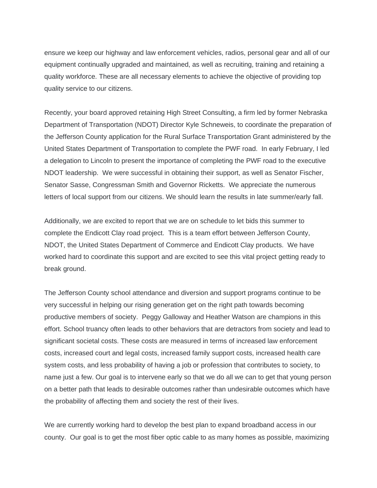ensure we keep our highway and law enforcement vehicles, radios, personal gear and all of our equipment continually upgraded and maintained, as well as recruiting, training and retaining a quality workforce. These are all necessary elements to achieve the objective of providing top quality service to our citizens.

Recently, your board approved retaining High Street Consulting, a firm led by former Nebraska Department of Transportation (NDOT) Director Kyle Schneweis, to coordinate the preparation of the Jefferson County application for the Rural Surface Transportation Grant administered by the United States Department of Transportation to complete the PWF road. In early February, I led a delegation to Lincoln to present the importance of completing the PWF road to the executive NDOT leadership. We were successful in obtaining their support, as well as Senator Fischer, Senator Sasse, Congressman Smith and Governor Ricketts. We appreciate the numerous letters of local support from our citizens. We should learn the results in late summer/early fall.

Additionally, we are excited to report that we are on schedule to let bids this summer to complete the Endicott Clay road project. This is a team effort between Jefferson County, NDOT, the United States Department of Commerce and Endicott Clay products. We have worked hard to coordinate this support and are excited to see this vital project getting ready to break ground.

The Jefferson County school attendance and diversion and support programs continue to be very successful in helping our rising generation get on the right path towards becoming productive members of society. Peggy Galloway and Heather Watson are champions in this effort. School truancy often leads to other behaviors that are detractors from society and lead to significant societal costs. These costs are measured in terms of increased law enforcement costs, increased court and legal costs, increased family support costs, increased health care system costs, and less probability of having a job or profession that contributes to society, to name just a few. Our goal is to intervene early so that we do all we can to get that young person on a better path that leads to desirable outcomes rather than undesirable outcomes which have the probability of affecting them and society the rest of their lives.

We are currently working hard to develop the best plan to expand broadband access in our county. Our goal is to get the most fiber optic cable to as many homes as possible, maximizing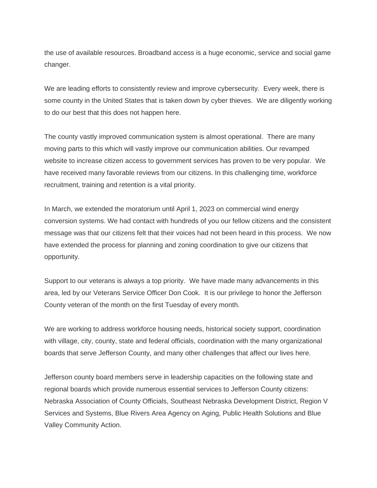the use of available resources. Broadband access is a huge economic, service and social game changer.

We are leading efforts to consistently review and improve cybersecurity. Every week, there is some county in the United States that is taken down by cyber thieves. We are diligently working to do our best that this does not happen here.

The county vastly improved communication system is almost operational. There are many moving parts to this which will vastly improve our communication abilities. Our revamped website to increase citizen access to government services has proven to be very popular. We have received many favorable reviews from our citizens. In this challenging time, workforce recruitment, training and retention is a vital priority.

In March, we extended the moratorium until April 1, 2023 on commercial wind energy conversion systems. We had contact with hundreds of you our fellow citizens and the consistent message was that our citizens felt that their voices had not been heard in this process. We now have extended the process for planning and zoning coordination to give our citizens that opportunity.

Support to our veterans is always a top priority. We have made many advancements in this area, led by our Veterans Service Officer Don Cook. It is our privilege to honor the Jefferson County veteran of the month on the first Tuesday of every month.

We are working to address workforce housing needs, historical society support, coordination with village, city, county, state and federal officials, coordination with the many organizational boards that serve Jefferson County, and many other challenges that affect our lives here.

Jefferson county board members serve in leadership capacities on the following state and regional boards which provide numerous essential services to Jefferson County citizens: Nebraska Association of County Officials, Southeast Nebraska Development District, Region V Services and Systems, Blue Rivers Area Agency on Aging, Public Health Solutions and Blue Valley Community Action.